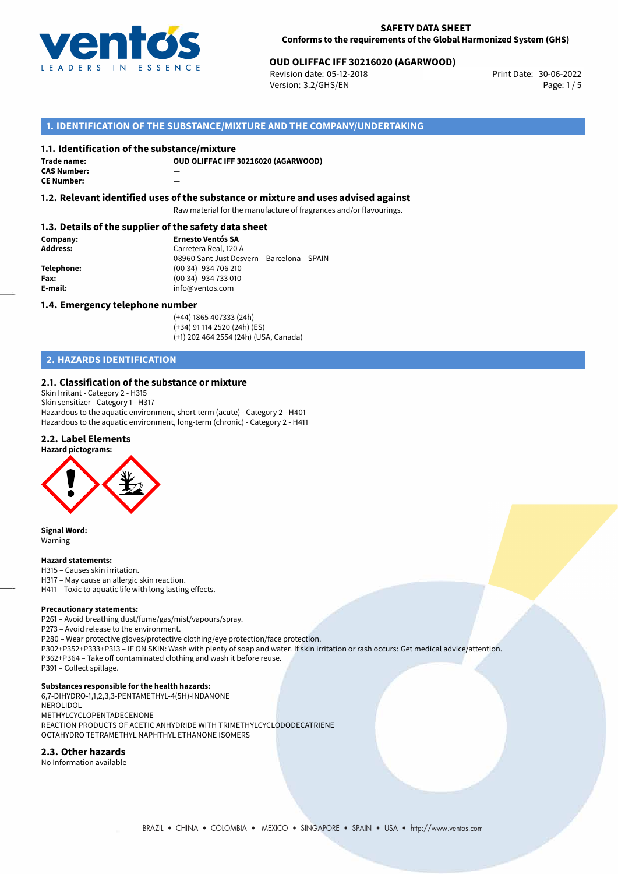

# **OUD OLIFFAC IFF 30216020 (AGARWOOD)**<br>30-06-2022 **Print Date: 30-06-2022** Print Date: 30-06-2022

Revision date: 05-12-2018 Version: 3.2/GHS/EN Page: 1/5

## **1. IDENTIFICATION OF THE SUBSTANCE/MIXTURE AND THE COMPANY/UNDERTAKING**

#### **1.1. Identification of the substance/mixture**

**Trade name: CAS Number:** — **CE Number:** —

**OUD OLIFFAC IFF 30216020 (AGARWOOD)**

**1.2. Relevant identified uses of the substance or mixture and uses advised against**

Raw material for the manufacture of fragrances and/or flavourings.

#### **1.3. Details of the supplier of the safety data sheet**

**Company: Ernesto Ventós SA Address:** Carretera Real, 120 A 08960 Sant Just Desvern – Barcelona – SPAIN **Telephone:** (00 34) 934 706 210 **Fax:** (00 34) 934 733 010<br> **E-mail:** example the info@ventos.com **E-mail:** info@ventos.com

#### **1.4. Emergency telephone number**

(+44) 1865 407333 (24h) (+34) 91 114 2520 (24h) (ES) (+1) 202 464 2554 (24h) (USA, Canada)

# **2. HAZARDS IDENTIFICATION**

#### **2.1. Classification of the substance or mixture**

Skin Irritant - Category 2 - H315 Skin sensitizer - Category 1 - H317 Hazardous to the aquatic environment, short-term (acute) - Category 2 - H401 Hazardous to the aquatic environment, long-term (chronic) - Category 2 - H411

# **2.2. Label Elements**



**Signal Word:** Warning

#### **Hazard statements:**

H315 – Causes skin irritation. H317 – May cause an allergic skin reaction. H411 – Toxic to aquatic life with long lasting effects.

#### **Precautionary statements:**

P261 – Avoid breathing dust/fume/gas/mist/vapours/spray. P273 – Avoid release to the environment. P280 – Wear protective gloves/protective clothing/eye protection/face protection. P302+P352+P333+P313 – IF ON SKIN: Wash with plenty of soap and water. If skin irritation or rash occurs: Get medical advice/attention. P362+P364 – Take off contaminated clothing and wash it before reuse. P391 – Collect spillage.

### **Substances responsible for the health hazards:**

6,7-DIHYDRO-1,1,2,3,3-PENTAMETHYL-4(5H)-INDANONE NEROLIDOL METHYLCYCLOPENTADECENONE REACTION PRODUCTS OF ACETIC ANHYDRIDE WITH TRIMETHYLCYCLODODECATRIENE OCTAHYDRO TETRAMETHYL NAPHTHYL ETHANONE ISOMERS

#### **2.3. Other hazards**

No Information available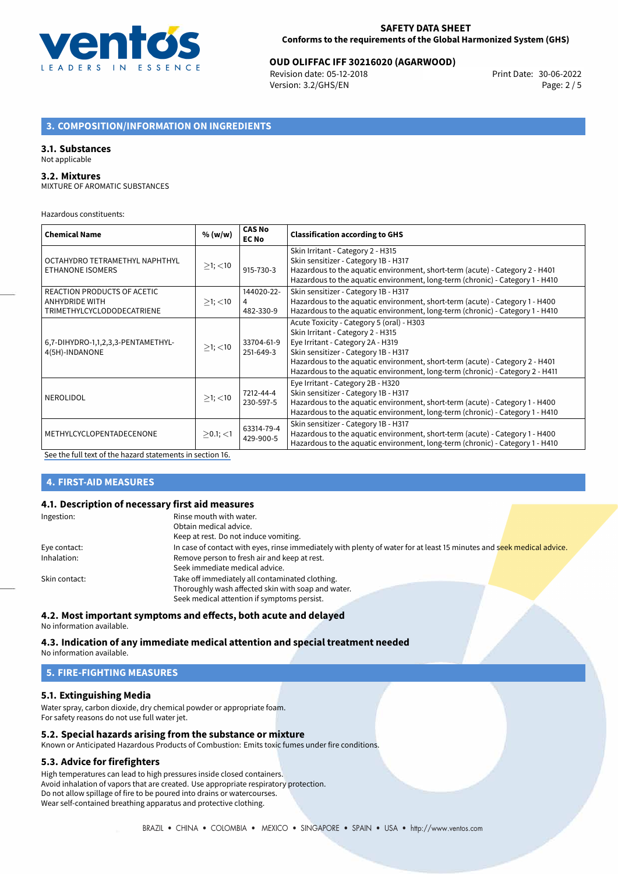

# **OUD OLIFFAC IFF 30216020 (AGARWOOD)**<br>Revision date: 05-12-2018<br>Print Date: 30-06-2022

Revision date: 05-12-2018 Version: 3.2/GHS/EN Page: 2 / 5

# **3. COMPOSITION/INFORMATION ON INGREDIENTS**

#### **3.1. Substances**

#### Not applicable

#### **3.2. Mixtures**

MIXTURE OF AROMATIC SUBSTANCES

Hazardous constituents:

| <b>Chemical Name</b>                                                        | % (w/w)       | <b>CAS No</b><br><b>EC No</b> | <b>Classification according to GHS</b>                                                                                                                                                                                                                                                                                       |
|-----------------------------------------------------------------------------|---------------|-------------------------------|------------------------------------------------------------------------------------------------------------------------------------------------------------------------------------------------------------------------------------------------------------------------------------------------------------------------------|
| OCTAHYDRO TETRAMETHYL NAPHTHYL<br><b>ETHANONE ISOMERS</b>                   | $>1$ ; $<$ 10 | 915-730-3                     | Skin Irritant - Category 2 - H315<br>Skin sensitizer - Category 1B - H317<br>Hazardous to the aquatic environment, short-term (acute) - Category 2 - H401<br>Hazardous to the aquatic environment, long-term (chronic) - Category 1 - H410                                                                                   |
| REACTION PRODUCTS OF ACETIC<br>ANHYDRIDE WITH<br>TRIMETHYLCYCLODODECATRIENE | $>1$ ; $<$ 10 | 144020-22-<br>4<br>482-330-9  | Skin sensitizer - Category 1B - H317<br>Hazardous to the aquatic environment, short-term (acute) - Category 1 - H400<br>Hazardous to the aquatic environment, long-term (chronic) - Category 1 - H410                                                                                                                        |
| 6,7-DIHYDRO-1,1,2,3,3-PENTAMETHYL-<br>4(5H)-INDANONE                        | $>1$ ; $<$ 10 | 33704-61-9<br>251-649-3       | Acute Toxicity - Category 5 (oral) - H303<br>Skin Irritant - Category 2 - H315<br>Eye Irritant - Category 2A - H319<br>Skin sensitizer - Category 1B - H317<br>Hazardous to the aquatic environment, short-term (acute) - Category 2 - H401<br>Hazardous to the aquatic environment, long-term (chronic) - Category 2 - H411 |
| <b>NEROLIDOL</b>                                                            | $>1$ ; $<$ 10 | 7212-44-4<br>230-597-5        | Eye Irritant - Category 2B - H320<br>Skin sensitizer - Category 1B - H317<br>Hazardous to the aquatic environment, short-term (acute) - Category 1 - H400<br>Hazardous to the aquatic environment, long-term (chronic) - Category 1 - H410                                                                                   |
| METHYLCYCLOPENTADECENONE                                                    | $>0.1$ ; <1   | 63314-79-4<br>429-900-5       | Skin sensitizer - Category 1B - H317<br>Hazardous to the aquatic environment, short-term (acute) - Category 1 - H400<br>Hazardous to the aquatic environment, long-term (chronic) - Category 1 - H410                                                                                                                        |

[See the full text of the hazard statements in section 16.](#page-4-0)

# **4. FIRST-AID MEASURES**

## **4.1. Description of necessary first aid measures**

| Ingestion:    | Rinse mouth with water.                                                                                               |
|---------------|-----------------------------------------------------------------------------------------------------------------------|
|               | Obtain medical advice.                                                                                                |
|               | Keep at rest. Do not induce vomiting.                                                                                 |
| Eye contact:  | In case of contact with eyes, rinse immediately with plenty of water for at least 15 minutes and seek medical advice. |
| Inhalation:   | Remove person to fresh air and keep at rest.                                                                          |
|               | Seek immediate medical advice.                                                                                        |
| Skin contact: | Take off immediately all contaminated clothing.                                                                       |
|               | Thoroughly wash affected skin with soap and water.                                                                    |
|               | Seek medical attention if symptoms persist.                                                                           |

### **4.2. Most important symptoms and effects, both acute and delayed**

No information available.

#### **4.3. Indication of any immediate medical attention and special treatment needed** No information available.

#### **5. FIRE-FIGHTING MEASURES**

#### **5.1. Extinguishing Media**

Water spray, carbon dioxide, dry chemical powder or appropriate foam. For safety reasons do not use full water jet.

#### **5.2. Special hazards arising from the substance or mixture**

Known or Anticipated Hazardous Products of Combustion: Emits toxic fumes under fire conditions.

#### **5.3. Advice for firefighters**

High temperatures can lead to high pressures inside closed containers. Avoid inhalation of vapors that are created. Use appropriate respiratory protection. Do not allow spillage of fire to be poured into drains or watercourses. Wear self-contained breathing apparatus and protective clothing.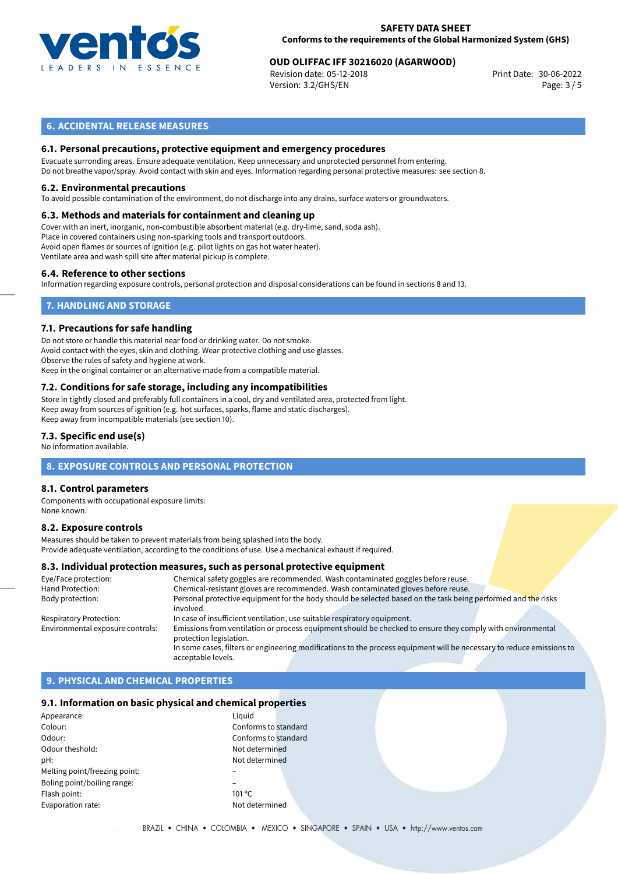

# **OUD OLIFFAC IFF 30216020 (AGARWOOD)**<br>30-06-2022 **Print Date: 30-06-2022** Print Date: 30-06-2022

Revision date: 05-12-2018 Version: 3.2/GHS/EN Page: 3 / 5

## **6. ACCIDENTAL RELEASE MEASURES**

#### **6.1. Personal precautions, protective equipment and emergency procedures**

Evacuate surronding areas. Ensure adequate ventilation. Keep unnecessary and unprotected personnel from entering. Do not breathe vapor/spray. Avoid contact with skin and eyes. Information regarding personal protective measures: see section 8.

#### **6.2. Environmental precautions**

To avoid possible contamination of the environment, do not discharge into any drains, surface waters or groundwaters.

#### **6.3. Methods and materials for containment and cleaning up**

Cover with an inert, inorganic, non-combustible absorbent material (e.g. dry-lime, sand, soda ash). Place in covered containers using non-sparking tools and transport outdoors. Avoid open flames or sources of ignition (e.g. pilot lights on gas hot water heater). Ventilate area and wash spill site after material pickup is complete.

#### **6.4. Reference to other sections**

Information regarding exposure controls, personal protection and disposal considerations can be found in sections 8 and 13.

# **7. HANDLING AND STORAGE**

#### **7.1. Precautions for safe handling**

Do not store or handle this material near food or drinking water. Do not smoke. Avoid contact with the eyes, skin and clothing. Wear protective clothing and use glasses. Observe the rules of safety and hygiene at work. Keep in the original container or an alternative made from a compatible material.

# **7.2. Conditions for safe storage, including any incompatibilities**

Store in tightly closed and preferably full containers in a cool, dry and ventilated area, protected from light. Keep away from sources of ignition (e.g. hot surfaces, sparks, flame and static discharges). Keep away from incompatible materials (see section 10).

#### **7.3. Specific end use(s)**

No information available.

#### **8. EXPOSURE CONTROLS AND PERSONAL PROTECTION**

#### **8.1. Control parameters**

Components with occupational exposure limits: None known.

#### **8.2. Exposure controls**

Measures should be taken to prevent materials from being splashed into the body. Provide adequate ventilation, according to the conditions of use. Use a mechanical exhaust if required.

#### **8.3. Individual protection measures, such as personal protective equipment**

| Eye/Face protection:             | Chemical safety goggles are recommended. Wash contaminated goggles before reuse.                                                      |  |  |  |  |
|----------------------------------|---------------------------------------------------------------------------------------------------------------------------------------|--|--|--|--|
| Hand Protection:                 | Chemical-resistant gloves are recommended. Wash contaminated gloves before reuse.                                                     |  |  |  |  |
| Body protection:                 | Personal protective equipment for the body should be selected based on the task being performed and the risks<br>involved.            |  |  |  |  |
| <b>Respiratory Protection:</b>   | In case of insufficient ventilation, use suitable respiratory equipment.                                                              |  |  |  |  |
| Environmental exposure controls: | Emissions from ventilation or process equipment should be checked to ensure they comply with environmental<br>protection legislation. |  |  |  |  |
|                                  | In some cases, filters or engineering modifications to the process equipment will be necessary to reduce emissions to                 |  |  |  |  |
|                                  | acceptable levels.                                                                                                                    |  |  |  |  |

# **9. PHYSICAL AND CHEMICAL PROPERTIES**

#### **9.1. Information on basic physical and chemical properties**

| Appearance:                   | Liguid          |
|-------------------------------|-----------------|
| Colour:                       | Confo           |
| Odour:                        | Confo           |
| Odour theshold:               | Not de          |
| pH:                           | Not de          |
| Melting point/freezing point: |                 |
| Boling point/boiling range:   |                 |
| Flash point:                  | $101^{\circ}$ C |
| Evaporation rate:             | Not de          |
|                               |                 |

Conforms to standard Conforms to standard Not determined Not determined Not determined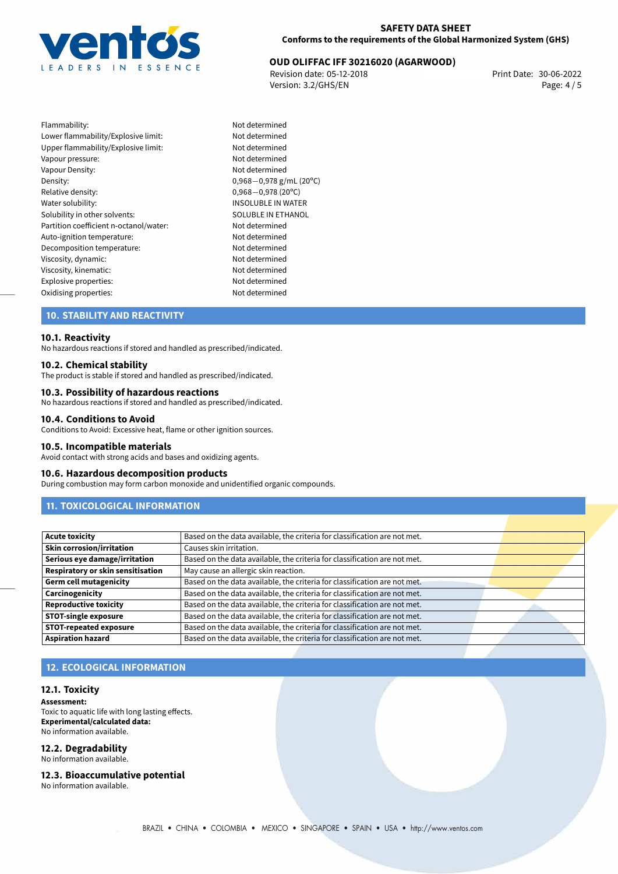

# **OUD OLIFFAC IFF 30216020 (AGARWOOD)**<br>30-06-2022 Print Date: 05-12-2018

Revision date: 05-12-2018 Version: 3.2/GHS/EN Page: 4 / 5

Flammability: Not determined Lower flammability/Explosive limit: Not determined Upper flammability/Explosive limit: Not determined Vapour pressure: Vapour pressure: Vapour Density: Not determined Density: 0,968−0,978 g/mL (20<sup>o</sup>C)<br>Relative density: 0,968−0,978 (20<sup>o</sup>C) Relative density: 0,968*−*0,978 (20ºC) Solubility in other solvents: SOLUBLE IN ETHANOL Partition coefficient n-octanol/water: Not determined Auto-ignition temperature: Not determined Decomposition temperature: Not determined Viscosity, dynamic: Not determined Viscosity, kinematic: Not determined Explosive properties: Not determined Oxidising properties: Not determined

INSOLUBLE IN WATER

# **10. STABILITY AND REACTIVITY**

#### **10.1. Reactivity**

No hazardous reactions if stored and handled as prescribed/indicated.

#### **10.2. Chemical stability**

The product is stable if stored and handled as prescribed/indicated.

#### **10.3. Possibility of hazardous reactions**

No hazardous reactions if stored and handled as prescribed/indicated.

#### **10.4. Conditions to Avoid**

Conditions to Avoid: Excessive heat, flame or other ignition sources.

#### **10.5. Incompatible materials**

Avoid contact with strong acids and bases and oxidizing agents.

#### **10.6. Hazardous decomposition products**

During combustion may form carbon monoxide and unidentified organic compounds.

# **11. TOXICOLOGICAL INFORMATION**

| Acute toxicity                           | Based on the data available, the criteria for classification are not met. |  |
|------------------------------------------|---------------------------------------------------------------------------|--|
| Skin corrosion/irritation                | Causes skin irritation.                                                   |  |
| Serious eye damage/irritation            | Based on the data available, the criteria for classification are not met. |  |
| <b>Respiratory or skin sensitisation</b> | May cause an allergic skin reaction.                                      |  |
| Germ cell mutagenicity                   | Based on the data available, the criteria for classification are not met. |  |
| <b>Carcinogenicity</b>                   | Based on the data available, the criteria for classification are not met. |  |
| Reproductive toxicity                    | Based on the data available, the criteria for classification are not met. |  |
| <b>STOT-single exposure</b>              | Based on the data available, the criteria for classification are not met. |  |
| STOT-repeated exposure                   | Based on the data available, the criteria for classification are not met. |  |
| <b>Aspiration hazard</b>                 | Based on the data available, the criteria for classification are not met. |  |

# **12. ECOLOGICAL INFORMATION**

#### **12.1. Toxicity**

**Assessment:** Toxic to aquatic life with long lasting effects. **Experimental/calculated data:** No information available.

# **12.2. Degradability**

No information available.

#### **12.3. Bioaccumulative potential**

No information available.